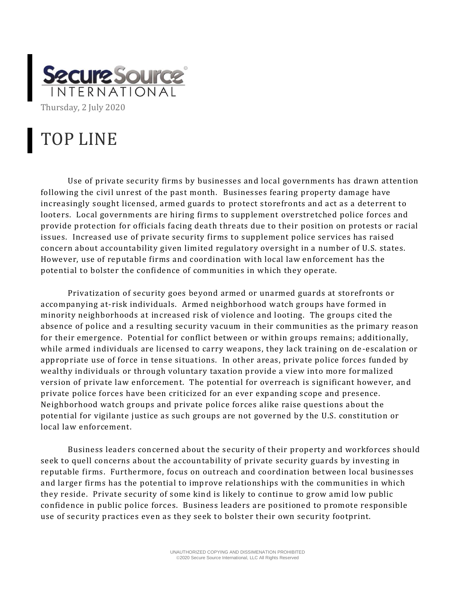

## TOP LINE

Use of private security firms by businesses and local governments has drawn attention following the civil unrest of the past month. Businesses fearing property damage have increasingly sought licensed, armed guards to protect storefronts and act as a deterrent to looters. Local governments are hiring firms to supplement overstretched police forces and provide protection for officials facing death threats due to their position on protests or racial issues. Increased use of private security firms to supplement police services has raised concern about accountability given limited regulatory oversight in a number of U.S. states. However, use of reputable firms and coordination with local law enforcement has the potential to bolster the confidence of communities in which they operate.

Privatization of security goes beyond armed or unarmed guards at storefronts or accompanying at-risk individuals. Armed neighborhood watch groups have formed in minority neighborhoods at increased risk of violence and looting. The groups cited the absence of police and a resulting security vacuum in their communities as the primary reason for their emergence. Potential for conflict between or within groups remains; additionally, while armed individuals are licensed to carry weapons, they lack training on de -escalation or appropriate use of force in tense situations. In other areas, private police forces funded by wealthy individuals or through voluntary taxation provide a view into more for malized version of private law enforcement. The potential for overreach is significant however, and private police forces have been criticized for an ever expanding scope and presence. Neighborhood watch groups and private police forces alike raise questions about the potential for vigilante justice as such groups are not governed by the U.S. constitution or local law enforcement.

Business leaders concerned about the security of their property and workforces should seek to quell concerns about the accountability of private security guards by investing in reputable firms. Furthermore, focus on outreach and coordination between local businesses and larger firms has the potential to improve relationships with the communities in which they reside. Private security of some kind is likely to continue to grow amid low public confidence in public police forces. Business leaders are positioned to promote responsible use of security practices even as they seek to bolster their own security footprint.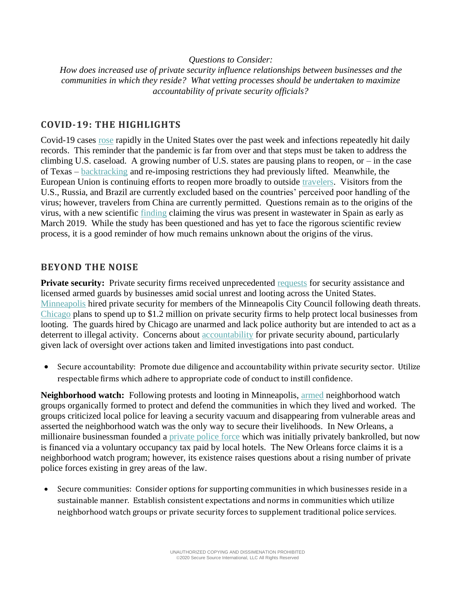## *Questions to Consider:*

*How does increased use of private security influence relationships between businesses and the communities in which they reside? What vetting processes should be undertaken to maximize accountability of private security officials?*

## **COVID-19: THE HIGHLIGHTS**

Covid-19 cases [rose](https://www.vox.com/2020/6/27/21302495/coronavirus-pandemic-second-wave-us-america) rapidly in the United States over the past week and infections repeatedly hit daily records. This reminder that the pandemic is far from over and that steps must be taken to address the climbing U.S. caseload. A growing number of U.S. states are pausing plans to reopen, or – in the case of Texas – [backtracking](https://www.nytimes.com/interactive/2020/us/states-reopen-map-coronavirus.html?campaign_id=29&emc=edit_up_20200629&instance_id=19849&nl=the-upshot®i_id=125234924&segment_id=32134&te=1&user_id=ef951501096fac815b2c4160edd0a3b8) and re-imposing restrictions they had previously lifted. Meanwhile, the European Union is continuing efforts to reopen more broadly to outside [travelers.](https://www.nytimes.com/2020/06/23/world/europe/coronavirus-EU-American-travel-ban.html) Visitors from the U.S., Russia, and Brazil are currently excluded based on the countries' perceived poor handling of the virus; however, travelers from China are currently permitted. Questions remain as to the origins of the virus, with a new scientific [finding](https://www.nytimes.com/2020/06/26/health/coronavirus-spain.html) claiming the virus was present in wastewater in Spain as early as March 2019. While the study has been questioned and has yet to face the rigorous scientific review process, it is a good reminder of how much remains unknown about the origins of the virus.

## **BEYOND THE NOISE**

**Private security:** Private security firms received unprecedented [requests](https://www.dailymail.co.uk/news/article-8377543/Heavily-armed-white-man-let-Chicago-protests-despite-breaking-state-gun-law.html) for security assistance and licensed armed guards by businesses amid social unrest and looting across the United States. [Minneapolis](https://thehill.com/homenews/state-watch/504831-minneapolis-city-council-members-get-private-security-detail-after) hired private security for members of the Minneapolis City Council following death threats. [Chicago](https://www.chicagotribune.com/news/breaking/ct-chicago-hires-private-security-firms-20200606-6d75fp7srzaz3hiltdnaqrko6u-story.html) plans to spend up to \$1.2 million on private security firms to help protect local businesses from looting. The guards hired by Chicago are unarmed and lack police authority but are intended to act as a deterrent to illegal activity. Concerns about **accountability** for private security abound, particularly given lack of oversight over actions taken and limited investigations into past conduct.

• Secure accountability: Promote due diligence and accountability within private security sector. Utilize respectable firms which adhere to appropriate code of conduct to instill confidence.

**Neighborhood watch:** Following protests and looting in Minneapolis, [armed](https://www.npr.org/2020/06/03/868464167/armed-neighborhood-groups-form-in-the-absence-of-police-protection) neighborhood watch groups organically formed to protect and defend the communities in which they lived and worked. The groups criticized local police for leaving a security vacuum and disappearing from vulnerable areas and asserted the neighborhood watch was the only way to secure their livelihoods. In New Orleans, a millionaire businessman founded a [private police force](https://www.abc.net.au/news/2018-12-29/sidney-torres-new-orleans-french-quarter-private-police-forces/10633694) which was initially privately bankrolled, but now is financed via a voluntary occupancy tax paid by local hotels. The New Orleans force claims it is a neighborhood watch program; however, its existence raises questions about a rising number of private police forces existing in grey areas of the law.

• Secure communities: Consider options for supporting communities in which businesses reside in a sustainable manner. Establish consistent expectations and norms in communities which utilize neighborhood watch groups or private security forces to supplement traditional police services.